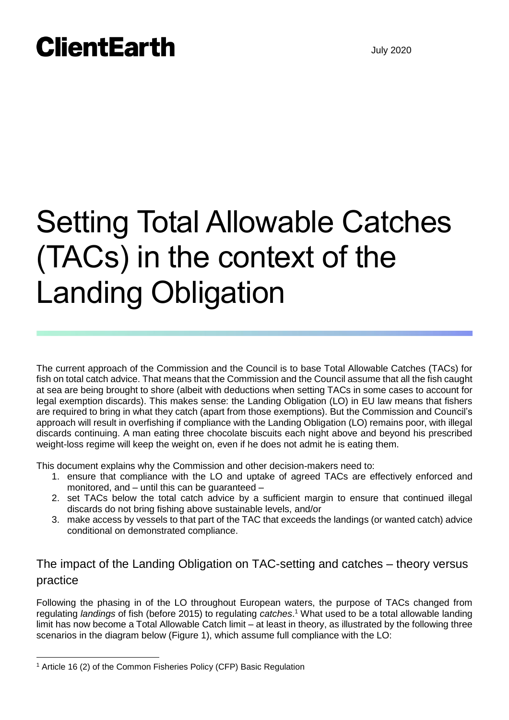# Setting Total Allowable Catches (TACs) in the context of the Landing Obligation

The current approach of the Commission and the Council is to base Total Allowable Catches (TACs) for fish on total catch advice. That means that the Commission and the Council assume that all the fish caught at sea are being brought to shore (albeit with deductions when setting TACs in some cases to account for legal exemption discards). This makes sense: the Landing Obligation (LO) in EU law means that fishers are required to bring in what they catch (apart from those exemptions). But the Commission and Council's approach will result in overfishing if compliance with the Landing Obligation (LO) remains poor, with illegal discards continuing. A man eating three chocolate biscuits each night above and beyond his prescribed weight-loss regime will keep the weight on, even if he does not admit he is eating them.

This document explains why the Commission and other decision-makers need to:

- 1. ensure that compliance with the LO and uptake of agreed TACs are effectively enforced and monitored, and – until this can be guaranteed –
- 2. set TACs below the total catch advice by a sufficient margin to ensure that continued illegal discards do not bring fishing above sustainable levels, and/or
- 3. make access by vessels to that part of the TAC that exceeds the landings (or wanted catch) advice conditional on demonstrated compliance.

### The impact of the Landing Obligation on TAC-setting and catches – theory versus practice

Following the phasing in of the LO throughout European waters, the purpose of TACs changed from regulating *landings* of fish (before 2015) to regulating *catches*. <sup>1</sup> What used to be a total allowable landing limit has now become a Total Allowable Catch limit – at least in theory, as illustrated by the following three scenarios in the diagram below (Figure 1), which assume full compliance with the LO:

 $\overline{a}$ 

<sup>1</sup> Article 16 (2) of the Common Fisheries Policy (CFP) Basic Regulation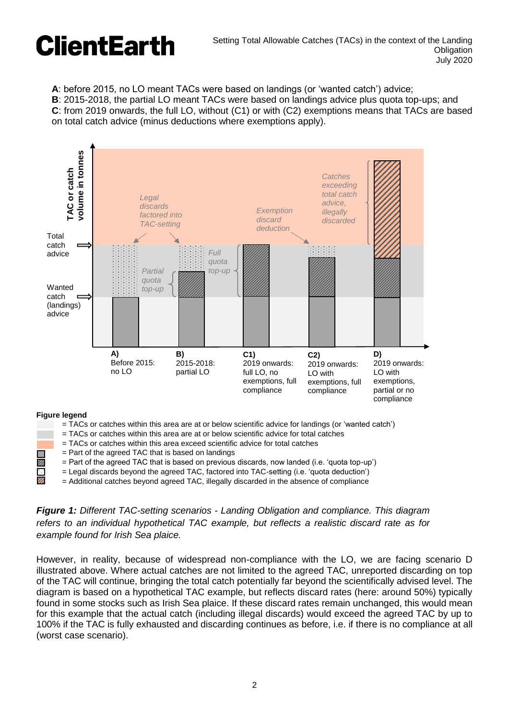**A**: before 2015, no LO meant TACs were based on landings (or 'wanted catch') advice;

**B**: 2015-2018, the partial LO meant TACs were based on landings advice plus quota top-ups; and **C**: from 2019 onwards, the full LO, without (C1) or with (C2) exemptions means that TACs are based on total catch advice (minus deductions where exemptions apply).



- = TACs or catches within this area are at or below scientific advice for landings (or 'wanted catch')
- = TACs or catches within this area are at or below scientific advice for total catches
- = TACs or catches within this area exceed scientific advice for total catches
- $\blacksquare$  = Part of the agreed TAC that is based on landings
- $\overline{z}$  = Part of the agreed TAC that is based on previous discards, now landed (i.e. 'quota top-up')<br>
= Legal discards beyond the agreed TAC, factored into TAC-setting (i.e. 'quota deduction')<br>
= Additional catches beyo
	- = Legal discards beyond the agreed TAC, factored into TAC-setting (i.e. 'quota deduction')
	- = Additional catches beyond agreed TAC, illegally discarded in the absence of compliance

#### *Figure 1: Different TAC-setting scenarios - Landing Obligation and compliance. This diagram refers to an individual hypothetical TAC example, but reflects a realistic discard rate as for example found for Irish Sea plaice.*

However, in reality, because of widespread non-compliance with the LO, we are facing scenario D illustrated above. Where actual catches are not limited to the agreed TAC, unreported discarding on top of the TAC will continue, bringing the total catch potentially far beyond the scientifically advised level. The diagram is based on a hypothetical TAC example, but reflects discard rates (here: around 50%) typically found in some stocks such as Irish Sea plaice. If these discard rates remain unchanged, this would mean for this example that the actual catch (including illegal discards) would exceed the agreed TAC by up to 100% if the TAC is fully exhausted and discarding continues as before, i.e. if there is no compliance at all (worst case scenario).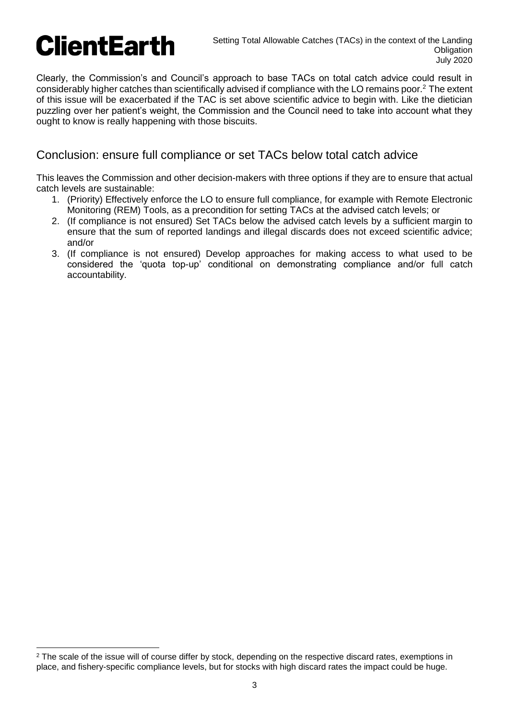Clearly, the Commission's and Council's approach to base TACs on total catch advice could result in considerably higher catches than scientifically advised if compliance with the LO remains poor.<sup>2</sup> The extent of this issue will be exacerbated if the TAC is set above scientific advice to begin with. Like the dietician puzzling over her patient's weight, the Commission and the Council need to take into account what they ought to know is really happening with those biscuits.

### Conclusion: ensure full compliance or set TACs below total catch advice

This leaves the Commission and other decision-makers with three options if they are to ensure that actual catch levels are sustainable:

- 1. (Priority) Effectively enforce the LO to ensure full compliance, for example with Remote Electronic Monitoring (REM) Tools, as a precondition for setting TACs at the advised catch levels; or
- 2. (If compliance is not ensured) Set TACs below the advised catch levels by a sufficient margin to ensure that the sum of reported landings and illegal discards does not exceed scientific advice; and/or
- 3. (If compliance is not ensured) Develop approaches for making access to what used to be considered the 'quota top-up' conditional on demonstrating compliance and/or full catch accountability.

<sup>&</sup>lt;sup>2</sup> The scale of the issue will of course differ by stock, depending on the respective discard rates, exemptions in place, and fishery-specific compliance levels, but for stocks with high discard rates the impact could be huge.